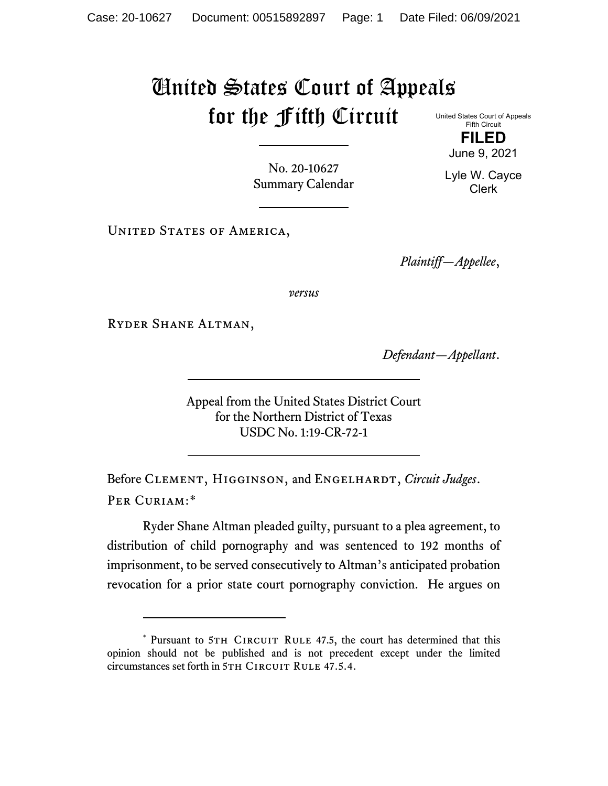## United States Court of Appeals for the Fifth Circuit

United States Court of Appeals Fifth Circuit **FILED**

June 9, 2021

Lyle W. Cayce Clerk

No. 20-10627 Summary Calendar

UNITED STATES OF AMERICA,

*Plaintiff—Appellee*,

*versus*

Ryder Shane Altman,

*Defendant—Appellant*.

Appeal from the United States District Court for the Northern District of Texas USDC No. 1:19-CR-72-1

Before CLEMENT, HIGGINSON, and ENGELHARDT, *Circuit Judges*. Per Curiam:[\\*](#page-0-0)

Ryder Shane Altman pleaded guilty, pursuant to a plea agreement, to distribution of child pornography and was sentenced to 192 months of imprisonment, to be served consecutively to Altman's anticipated probation revocation for a prior state court pornography conviction. He argues on

<span id="page-0-0"></span><sup>\*</sup> Pursuant to 5TH CIRCUIT RULE 47.5, the court has determined that this opinion should not be published and is not precedent except under the limited circumstances set forth in 5TH CIRCUIT RULE 47.5.4.